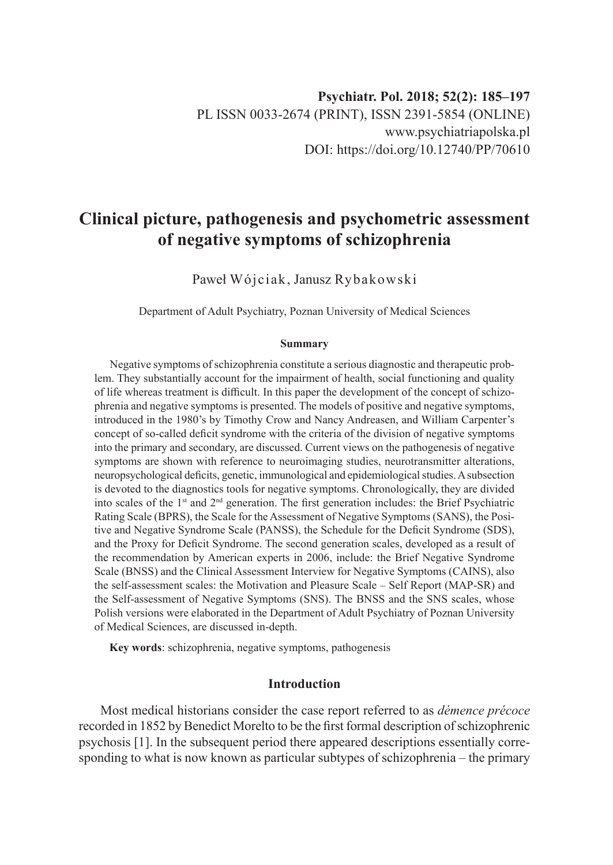# **Clinical picture, pathogenesis and psychometric assessment of negative symptoms of schizophrenia**

Paweł Wójciak, Janusz Rybakowski

Department of Adult Psychiatry, Poznan University of Medical Sciences

#### **Summary**

Negative symptoms of schizophrenia constitute a serious diagnostic and therapeutic problem. They substantially account for the impairment of health, social functioning and quality of life whereas treatment is difficult. In this paper the development of the concept of schizophrenia and negative symptoms is presented. The models of positive and negative symptoms, introduced in the 1980's by Timothy Crow and Nancy Andreasen, and William Carpenter's concept of so-called deficit syndrome with the criteria of the division of negative symptoms into the primary and secondary, are discussed. Current views on the pathogenesis of negative symptoms are shown with reference to neuroimaging studies, neurotransmitter alterations, neuropsychological deficits, genetic, immunological and epidemiological studies. A subsection is devoted to the diagnostics tools for negative symptoms. Chronologically, they are divided into scales of the  $1<sup>st</sup>$  and  $2<sup>nd</sup>$  generation. The first generation includes: the Brief Psychiatric Rating Scale (BPRS), the Scale for the Assessment of Negative Symptoms (SANS), the Positive and Negative Syndrome Scale (PANSS), the Schedule for the Deficit Syndrome (SDS), and the Proxy for Deficit Syndrome. The second generation scales, developed as a result of the recommendation by American experts in 2006, include: the Brief Negative Syndrome Scale (BNSS) and the Clinical Assessment Interview for Negative Symptoms (CAINS), also the self-assessment scales: the Motivation and Pleasure Scale – Self Report (MAP-SR) and the Self-assessment of Negative Symptoms (SNS). The BNSS and the SNS scales, whose Polish versions were elaborated in the Department of Adult Psychiatry of Poznan University of Medical Sciences, are discussed in-depth.

**Key words**: schizophrenia, negative symptoms, pathogenesis

#### **Introduction**

Most medical historians consider the case report referred to as *démence précoce* recorded in 1852 by Benedict Morelto to be the first formal description of schizophrenic psychosis [1]. In the subsequent period there appeared descriptions essentially corresponding to what is now known as particular subtypes of schizophrenia – the primary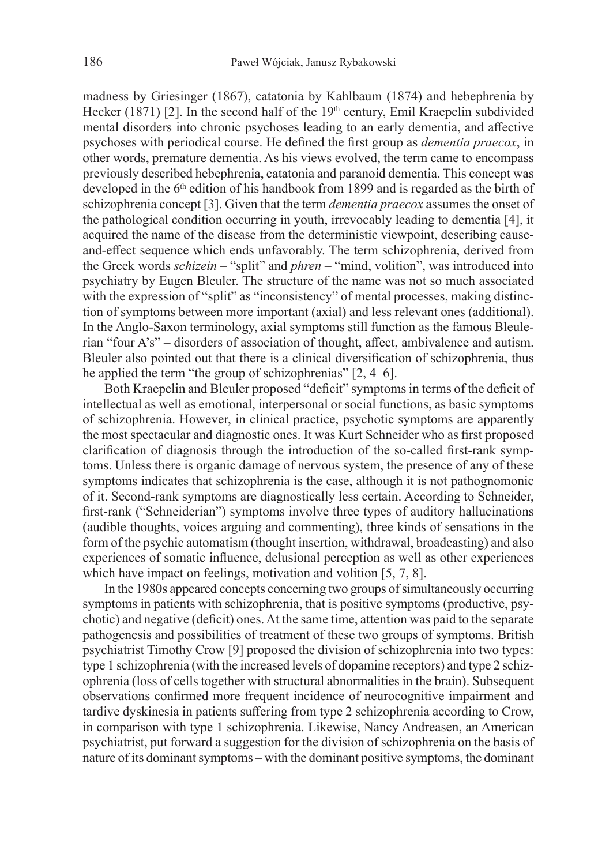madness by Griesinger (1867), catatonia by Kahlbaum (1874) and hebephrenia by Hecker (1871) [2]. In the second half of the 19<sup>th</sup> century, Emil Kraepelin subdivided mental disorders into chronic psychoses leading to an early dementia, and affective psychoses with periodical course. He defined the first group as *dementia praecox*, in other words, premature dementia. As his views evolved, the term came to encompass previously described hebephrenia, catatonia and paranoid dementia. This concept was developed in the 6<sup>th</sup> edition of his handbook from 1899 and is regarded as the birth of schizophrenia concept [3]. Given that the term *dementia praecox* assumes the onset of the pathological condition occurring in youth, irrevocably leading to dementia [4], it acquired the name of the disease from the deterministic viewpoint, describing causeand-effect sequence which ends unfavorably. The term schizophrenia, derived from the Greek words *schizein* – "split" and *phren* – "mind, volition", was introduced into psychiatry by Eugen Bleuler. The structure of the name was not so much associated with the expression of "split" as "inconsistency" of mental processes, making distinction of symptoms between more important (axial) and less relevant ones (additional). In the Anglo-Saxon terminology, axial symptoms still function as the famous Bleulerian "four A's" – disorders of association of thought, affect, ambivalence and autism. Bleuler also pointed out that there is a clinical diversification of schizophrenia, thus he applied the term "the group of schizophrenias" [2, 4–6].

Both Kraepelin and Bleuler proposed "deficit" symptoms in terms of the deficit of intellectual as well as emotional, interpersonal or social functions, as basic symptoms of schizophrenia. However, in clinical practice, psychotic symptoms are apparently the most spectacular and diagnostic ones. It was Kurt Schneider who as first proposed clarification of diagnosis through the introduction of the so-called first-rank symptoms. Unless there is organic damage of nervous system, the presence of any of these symptoms indicates that schizophrenia is the case, although it is not pathognomonic of it. Second-rank symptoms are diagnostically less certain. According to Schneider, first-rank ("Schneiderian") symptoms involve three types of auditory hallucinations (audible thoughts, voices arguing and commenting), three kinds of sensations in the form of the psychic automatism (thought insertion, withdrawal, broadcasting) and also experiences of somatic influence, delusional perception as well as other experiences which have impact on feelings, motivation and volition [5, 7, 8].

In the 1980s appeared concepts concerning two groups of simultaneously occurring symptoms in patients with schizophrenia, that is positive symptoms (productive, psychotic) and negative (deficit) ones. At the same time, attention was paid to the separate pathogenesis and possibilities of treatment of these two groups of symptoms. British psychiatrist Timothy Crow [9] proposed the division of schizophrenia into two types: type 1 schizophrenia (with the increased levels of dopamine receptors) and type 2 schizophrenia (loss of cells together with structural abnormalities in the brain). Subsequent observations confirmed more frequent incidence of neurocognitive impairment and tardive dyskinesia in patients suffering from type 2 schizophrenia according to Crow, in comparison with type 1 schizophrenia. Likewise, Nancy Andreasen, an American psychiatrist, put forward a suggestion for the division of schizophrenia on the basis of nature of its dominant symptoms – with the dominant positive symptoms, the dominant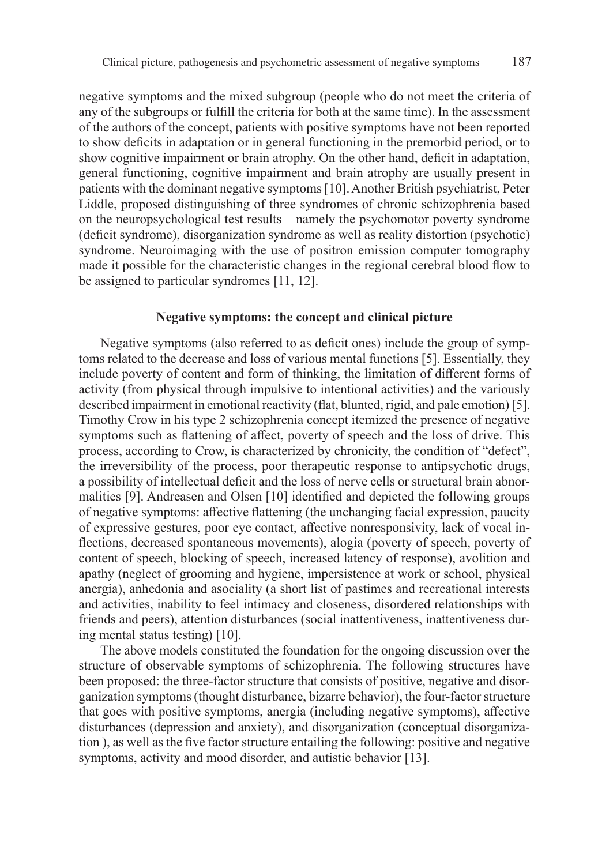negative symptoms and the mixed subgroup (people who do not meet the criteria of any of the subgroups or fulfill the criteria for both at the same time). In the assessment of the authors of the concept, patients with positive symptoms have not been reported to show deficits in adaptation or in general functioning in the premorbid period, or to show cognitive impairment or brain atrophy. On the other hand, deficit in adaptation, general functioning, cognitive impairment and brain atrophy are usually present in patients with the dominant negative symptoms [10]. Another British psychiatrist, Peter Liddle, proposed distinguishing of three syndromes of chronic schizophrenia based on the neuropsychological test results – namely the psychomotor poverty syndrome (deficit syndrome), disorganization syndrome as well as reality distortion (psychotic) syndrome. Neuroimaging with the use of positron emission computer tomography made it possible for the characteristic changes in the regional cerebral blood flow to be assigned to particular syndromes [11, 12].

#### **Negative symptoms: the concept and clinical picture**

Negative symptoms (also referred to as deficit ones) include the group of symptoms related to the decrease and loss of various mental functions [5]. Essentially, they include poverty of content and form of thinking, the limitation of different forms of activity (from physical through impulsive to intentional activities) and the variously described impairment in emotional reactivity (flat, blunted, rigid, and pale emotion) [5]. Timothy Crow in his type 2 schizophrenia concept itemized the presence of negative symptoms such as flattening of affect, poverty of speech and the loss of drive. This process, according to Crow, is characterized by chronicity, the condition of "defect", the irreversibility of the process, poor therapeutic response to antipsychotic drugs, a possibility of intellectual deficit and the loss of nerve cells or structural brain abnormalities [9]. Andreasen and Olsen [10] identified and depicted the following groups of negative symptoms: affective flattening (the unchanging facial expression, paucity of expressive gestures, poor eye contact, affective nonresponsivity, lack of vocal inflections, decreased spontaneous movements), alogia (poverty of speech, poverty of content of speech, blocking of speech, increased latency of response), avolition and apathy (neglect of grooming and hygiene, impersistence at work or school, physical anergia), anhedonia and asociality (a short list of pastimes and recreational interests and activities, inability to feel intimacy and closeness, disordered relationships with friends and peers), attention disturbances (social inattentiveness, inattentiveness during mental status testing) [10].

The above models constituted the foundation for the ongoing discussion over the structure of observable symptoms of schizophrenia. The following structures have been proposed: the three-factor structure that consists of positive, negative and disorganization symptoms (thought disturbance, bizarre behavior), the four-factor structure that goes with positive symptoms, anergia (including negative symptoms), affective disturbances (depression and anxiety), and disorganization (conceptual disorganization ), as well as the five factor structure entailing the following: positive and negative symptoms, activity and mood disorder, and autistic behavior [13].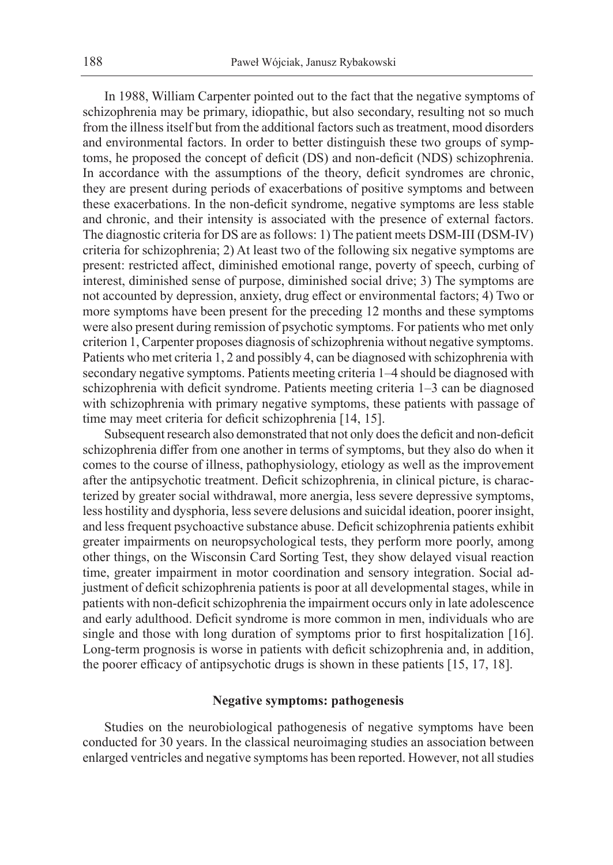In 1988, William Carpenter pointed out to the fact that the negative symptoms of schizophrenia may be primary, idiopathic, but also secondary, resulting not so much from the illness itself but from the additional factors such as treatment, mood disorders and environmental factors. In order to better distinguish these two groups of symptoms, he proposed the concept of deficit (DS) and non-deficit (NDS) schizophrenia. In accordance with the assumptions of the theory, deficit syndromes are chronic, they are present during periods of exacerbations of positive symptoms and between these exacerbations. In the non-deficit syndrome, negative symptoms are less stable and chronic, and their intensity is associated with the presence of external factors. The diagnostic criteria for DS are as follows: 1) The patient meets DSM-III (DSM-IV) criteria for schizophrenia; 2) At least two of the following six negative symptoms are present: restricted affect, diminished emotional range, poverty of speech, curbing of interest, diminished sense of purpose, diminished social drive; 3) The symptoms are not accounted by depression, anxiety, drug effect or environmental factors; 4) Two or more symptoms have been present for the preceding 12 months and these symptoms were also present during remission of psychotic symptoms. For patients who met only criterion 1, Carpenter proposes diagnosis of schizophrenia without negative symptoms. Patients who met criteria 1, 2 and possibly 4, can be diagnosed with schizophrenia with secondary negative symptoms. Patients meeting criteria 1–4 should be diagnosed with schizophrenia with deficit syndrome. Patients meeting criteria 1–3 can be diagnosed with schizophrenia with primary negative symptoms, these patients with passage of time may meet criteria for deficit schizophrenia [14, 15].

Subsequent research also demonstrated that not only does the deficit and non-deficit schizophrenia differ from one another in terms of symptoms, but they also do when it comes to the course of illness, pathophysiology, etiology as well as the improvement after the antipsychotic treatment. Deficit schizophrenia, in clinical picture, is characterized by greater social withdrawal, more anergia, less severe depressive symptoms, less hostility and dysphoria, less severe delusions and suicidal ideation, poorer insight, and less frequent psychoactive substance abuse. Deficit schizophrenia patients exhibit greater impairments on neuropsychological tests, they perform more poorly, among other things, on the Wisconsin Card Sorting Test, they show delayed visual reaction time, greater impairment in motor coordination and sensory integration. Social adjustment of deficit schizophrenia patients is poor at all developmental stages, while in patients with non-deficit schizophrenia the impairment occurs only in late adolescence and early adulthood. Deficit syndrome is more common in men, individuals who are single and those with long duration of symptoms prior to first hospitalization [16]. Long-term prognosis is worse in patients with deficit schizophrenia and, in addition, the poorer efficacy of antipsychotic drugs is shown in these patients [15, 17, 18].

#### **Negative symptoms: pathogenesis**

Studies on the neurobiological pathogenesis of negative symptoms have been conducted for 30 years. In the classical neuroimaging studies an association between enlarged ventricles and negative symptoms has been reported. However, not all studies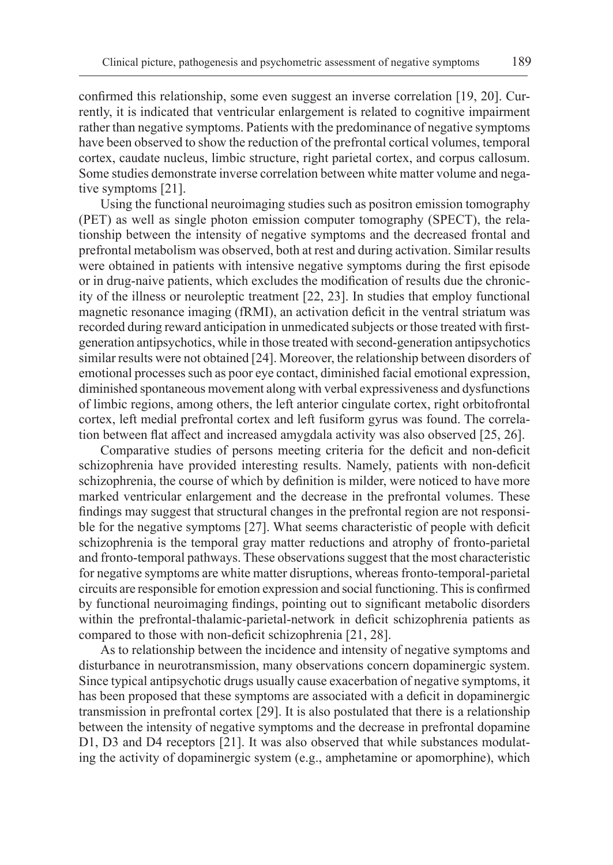confirmed this relationship, some even suggest an inverse correlation [19, 20]. Currently, it is indicated that ventricular enlargement is related to cognitive impairment rather than negative symptoms. Patients with the predominance of negative symptoms have been observed to show the reduction of the prefrontal cortical volumes, temporal cortex, caudate nucleus, limbic structure, right parietal cortex, and corpus callosum. Some studies demonstrate inverse correlation between white matter volume and negative symptoms [21].

Using the functional neuroimaging studies such as positron emission tomography (PET) as well as single photon emission computer tomography (SPECT), the relationship between the intensity of negative symptoms and the decreased frontal and prefrontal metabolism was observed, both at rest and during activation. Similar results were obtained in patients with intensive negative symptoms during the first episode or in drug-naive patients, which excludes the modification of results due the chronicity of the illness or neuroleptic treatment [22, 23]. In studies that employ functional magnetic resonance imaging (fRMI), an activation deficit in the ventral striatum was recorded during reward anticipation in unmedicated subjects or those treated with firstgeneration antipsychotics, while in those treated with second-generation antipsychotics similar results were not obtained [24]. Moreover, the relationship between disorders of emotional processes such as poor eye contact, diminished facial emotional expression, diminished spontaneous movement along with verbal expressiveness and dysfunctions of limbic regions, among others, the left anterior cingulate cortex, right orbitofrontal cortex, left medial prefrontal cortex and left fusiform gyrus was found. The correlation between flat affect and increased amygdala activity was also observed [25, 26].

Comparative studies of persons meeting criteria for the deficit and non-deficit schizophrenia have provided interesting results. Namely, patients with non-deficit schizophrenia, the course of which by definition is milder, were noticed to have more marked ventricular enlargement and the decrease in the prefrontal volumes. These findings may suggest that structural changes in the prefrontal region are not responsible for the negative symptoms [27]. What seems characteristic of people with deficit schizophrenia is the temporal gray matter reductions and atrophy of fronto-parietal and fronto-temporal pathways. These observations suggest that the most characteristic for negative symptoms are white matter disruptions, whereas fronto-temporal-parietal circuits are responsible for emotion expression and social functioning. This is confirmed by functional neuroimaging findings, pointing out to significant metabolic disorders within the prefrontal-thalamic-parietal-network in deficit schizophrenia patients as compared to those with non-deficit schizophrenia [21, 28].

As to relationship between the incidence and intensity of negative symptoms and disturbance in neurotransmission, many observations concern dopaminergic system. Since typical antipsychotic drugs usually cause exacerbation of negative symptoms, it has been proposed that these symptoms are associated with a deficit in dopaminergic transmission in prefrontal cortex [29]. It is also postulated that there is a relationship between the intensity of negative symptoms and the decrease in prefrontal dopamine D1, D3 and D4 receptors [21]. It was also observed that while substances modulating the activity of dopaminergic system (e.g., amphetamine or apomorphine), which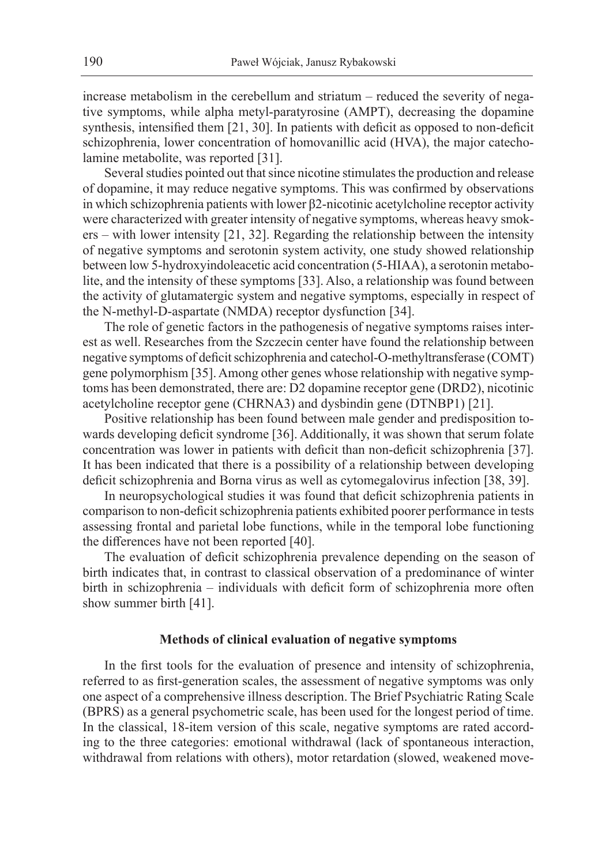increase metabolism in the cerebellum and striatum – reduced the severity of negative symptoms, while alpha metyl-paratyrosine (AMPT), decreasing the dopamine synthesis, intensified them [21, 30]. In patients with deficit as opposed to non-deficit schizophrenia, lower concentration of homovanillic acid (HVA), the major catecholamine metabolite, was reported [31].

Several studies pointed out that since nicotine stimulates the production and release of dopamine, it may reduce negative symptoms. This was confirmed by observations in which schizophrenia patients with lower β2-nicotinic acetylcholine receptor activity were characterized with greater intensity of negative symptoms, whereas heavy smokers – with lower intensity [21, 32]. Regarding the relationship between the intensity of negative symptoms and serotonin system activity, one study showed relationship between low 5-hydroxyindoleacetic acid concentration (5-HIAA), a serotonin metabolite, and the intensity of these symptoms [33]. Also, a relationship was found between the activity of glutamatergic system and negative symptoms, especially in respect of the N-methyl-D-aspartate (NMDA) receptor dysfunction [34].

The role of genetic factors in the pathogenesis of negative symptoms raises interest as well. Researches from the Szczecin center have found the relationship between negative symptoms of deficit schizophrenia and catechol-O-methyltransferase (COMT) gene polymorphism [35]. Among other genes whose relationship with negative symptoms has been demonstrated, there are: D2 dopamine receptor gene (DRD2), nicotinic acetylcholine receptor gene (CHRNA3) and dysbindin gene (DTNBP1) [21].

Positive relationship has been found between male gender and predisposition towards developing deficit syndrome [36]. Additionally, it was shown that serum folate concentration was lower in patients with deficit than non-deficit schizophrenia [37]. It has been indicated that there is a possibility of a relationship between developing deficit schizophrenia and Borna virus as well as cytomegalovirus infection [38, 39].

In neuropsychological studies it was found that deficit schizophrenia patients in comparison to non-deficit schizophrenia patients exhibited poorer performance in tests assessing frontal and parietal lobe functions, while in the temporal lobe functioning the differences have not been reported [40].

The evaluation of deficit schizophrenia prevalence depending on the season of birth indicates that, in contrast to classical observation of a predominance of winter birth in schizophrenia – individuals with deficit form of schizophrenia more often show summer birth [41].

### **Methods of clinical evaluation of negative symptoms**

In the first tools for the evaluation of presence and intensity of schizophrenia, referred to as first-generation scales, the assessment of negative symptoms was only one aspect of a comprehensive illness description. The Brief Psychiatric Rating Scale (BPRS) as a general psychometric scale, has been used for the longest period of time. In the classical, 18-item version of this scale, negative symptoms are rated according to the three categories: emotional withdrawal (lack of spontaneous interaction, withdrawal from relations with others), motor retardation (slowed, weakened move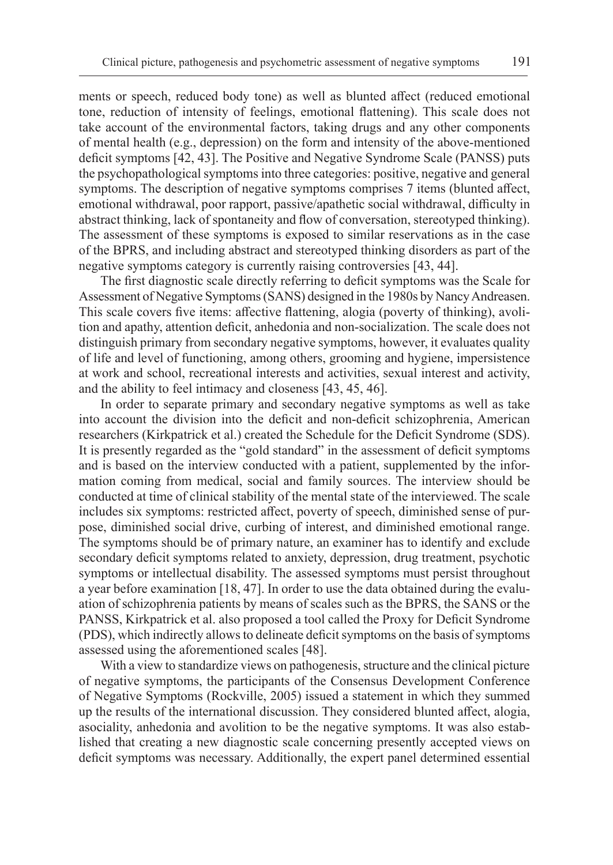ments or speech, reduced body tone) as well as blunted affect (reduced emotional tone, reduction of intensity of feelings, emotional flattening). This scale does not take account of the environmental factors, taking drugs and any other components of mental health (e.g., depression) on the form and intensity of the above-mentioned deficit symptoms [42, 43]. The Positive and Negative Syndrome Scale (PANSS) puts the psychopathological symptoms into three categories: positive, negative and general symptoms. The description of negative symptoms comprises 7 items (blunted affect, emotional withdrawal, poor rapport, passive/apathetic social withdrawal, difficulty in abstract thinking, lack of spontaneity and flow of conversation, stereotyped thinking). The assessment of these symptoms is exposed to similar reservations as in the case of the BPRS, and including abstract and stereotyped thinking disorders as part of the negative symptoms category is currently raising controversies [43, 44].

The first diagnostic scale directly referring to deficit symptoms was the Scale for Assessment of Negative Symptoms (SANS) designed in the 1980s by Nancy Andreasen. This scale covers five items: affective flattening, alogia (poverty of thinking), avolition and apathy, attention deficit, anhedonia and non-socialization. The scale does not distinguish primary from secondary negative symptoms, however, it evaluates quality of life and level of functioning, among others, grooming and hygiene, impersistence at work and school, recreational interests and activities, sexual interest and activity, and the ability to feel intimacy and closeness [43, 45, 46].

In order to separate primary and secondary negative symptoms as well as take into account the division into the deficit and non-deficit schizophrenia, American researchers (Kirkpatrick et al.) created the Schedule for the Deficit Syndrome (SDS). It is presently regarded as the "gold standard" in the assessment of deficit symptoms and is based on the interview conducted with a patient, supplemented by the information coming from medical, social and family sources. The interview should be conducted at time of clinical stability of the mental state of the interviewed. The scale includes six symptoms: restricted affect, poverty of speech, diminished sense of purpose, diminished social drive, curbing of interest, and diminished emotional range. The symptoms should be of primary nature, an examiner has to identify and exclude secondary deficit symptoms related to anxiety, depression, drug treatment, psychotic symptoms or intellectual disability. The assessed symptoms must persist throughout a year before examination [18, 47]. In order to use the data obtained during the evaluation of schizophrenia patients by means of scales such as the BPRS, the SANS or the PANSS, Kirkpatrick et al. also proposed a tool called the Proxy for Deficit Syndrome (PDS), which indirectly allows to delineate deficit symptoms on the basis of symptoms assessed using the aforementioned scales [48].

With a view to standardize views on pathogenesis, structure and the clinical picture of negative symptoms, the participants of the Consensus Development Conference of Negative Symptoms (Rockville, 2005) issued a statement in which they summed up the results of the international discussion. They considered blunted affect, alogia, asociality, anhedonia and avolition to be the negative symptoms. It was also established that creating a new diagnostic scale concerning presently accepted views on deficit symptoms was necessary. Additionally, the expert panel determined essential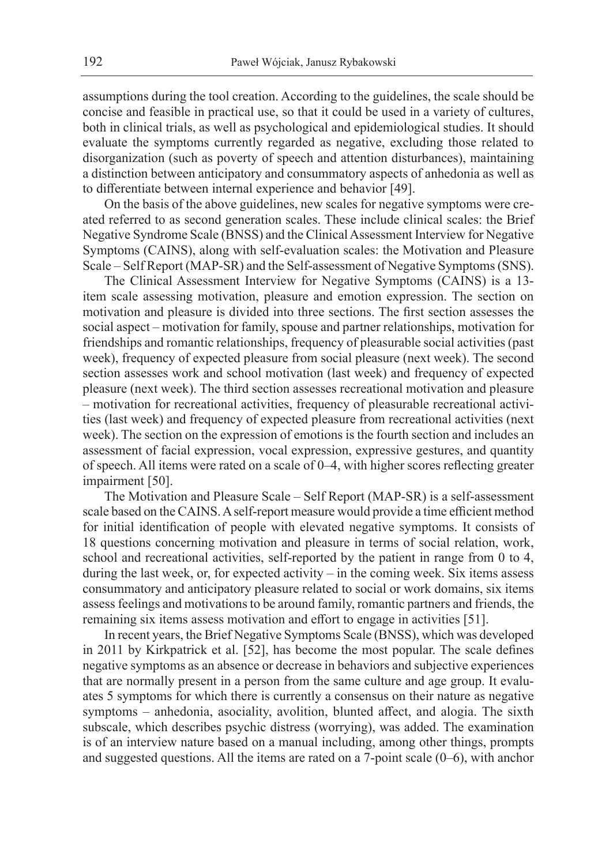assumptions during the tool creation. According to the guidelines, the scale should be concise and feasible in practical use, so that it could be used in a variety of cultures, both in clinical trials, as well as psychological and epidemiological studies. It should evaluate the symptoms currently regarded as negative, excluding those related to disorganization (such as poverty of speech and attention disturbances), maintaining a distinction between anticipatory and consummatory aspects of anhedonia as well as to differentiate between internal experience and behavior [49].

On the basis of the above guidelines, new scales for negative symptoms were created referred to as second generation scales. These include clinical scales: the Brief Negative Syndrome Scale (BNSS) and the Clinical Assessment Interview for Negative Symptoms (CAINS), along with self-evaluation scales: the Motivation and Pleasure Scale – Self Report (MAP-SR) and the Self-assessment of Negative Symptoms (SNS).

The Clinical Assessment Interview for Negative Symptoms (CAINS) is a 13 item scale assessing motivation, pleasure and emotion expression. The section on motivation and pleasure is divided into three sections. The first section assesses the social aspect – motivation for family, spouse and partner relationships, motivation for friendships and romantic relationships, frequency of pleasurable social activities (past week), frequency of expected pleasure from social pleasure (next week). The second section assesses work and school motivation (last week) and frequency of expected pleasure (next week). The third section assesses recreational motivation and pleasure – motivation for recreational activities, frequency of pleasurable recreational activities (last week) and frequency of expected pleasure from recreational activities (next week). The section on the expression of emotions is the fourth section and includes an assessment of facial expression, vocal expression, expressive gestures, and quantity of speech. All items were rated on a scale of 0–4, with higher scores reflecting greater impairment [50].

The Motivation and Pleasure Scale – Self Report (MAP-SR) is a self-assessment scale based on the CAINS. A self-report measure would provide a time efficient method for initial identification of people with elevated negative symptoms. It consists of 18 questions concerning motivation and pleasure in terms of social relation, work, school and recreational activities, self-reported by the patient in range from 0 to 4, during the last week, or, for expected activity – in the coming week. Six items assess consummatory and anticipatory pleasure related to social or work domains, six items assess feelings and motivations to be around family, romantic partners and friends, the remaining six items assess motivation and effort to engage in activities [51].

In recent years, the Brief Negative Symptoms Scale (BNSS), which was developed in 2011 by Kirkpatrick et al. [52], has become the most popular. The scale defines negative symptoms as an absence or decrease in behaviors and subjective experiences that are normally present in a person from the same culture and age group. It evaluates 5 symptoms for which there is currently a consensus on their nature as negative symptoms – anhedonia, asociality, avolition, blunted affect, and alogia. The sixth subscale, which describes psychic distress (worrying), was added. The examination is of an interview nature based on a manual including, among other things, prompts and suggested questions. All the items are rated on a 7-point scale (0–6), with anchor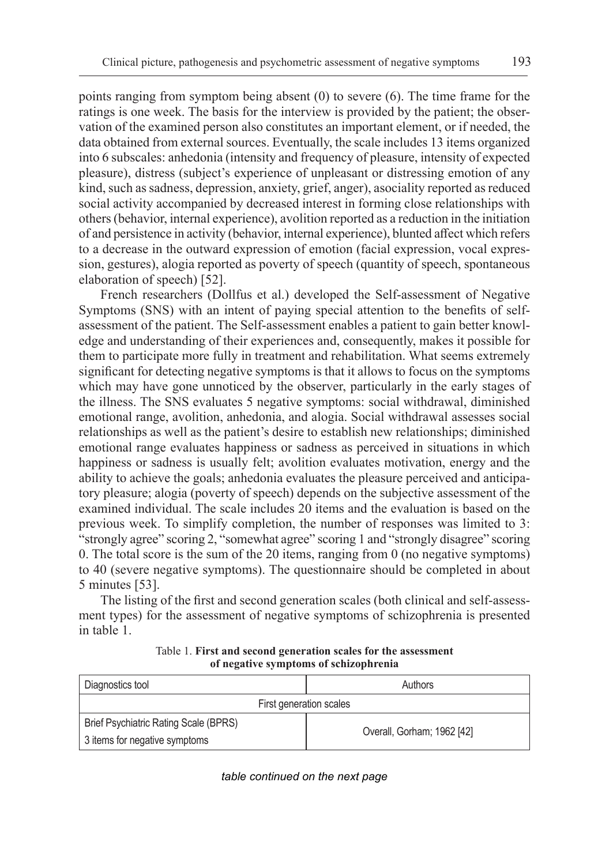points ranging from symptom being absent (0) to severe (6). The time frame for the ratings is one week. The basis for the interview is provided by the patient; the observation of the examined person also constitutes an important element, or if needed, the data obtained from external sources. Eventually, the scale includes 13 items organized into 6 subscales: anhedonia (intensity and frequency of pleasure, intensity of expected pleasure), distress (subject's experience of unpleasant or distressing emotion of any kind, such as sadness, depression, anxiety, grief, anger), asociality reported as reduced social activity accompanied by decreased interest in forming close relationships with others (behavior, internal experience), avolition reported as a reduction in the initiation of and persistence in activity (behavior, internal experience), blunted affect which refers to a decrease in the outward expression of emotion (facial expression, vocal expression, gestures), alogia reported as poverty of speech (quantity of speech, spontaneous elaboration of speech) [52].

French researchers (Dollfus et al.) developed the Self-assessment of Negative Symptoms (SNS) with an intent of paying special attention to the benefits of selfassessment of the patient. The Self-assessment enables a patient to gain better knowledge and understanding of their experiences and, consequently, makes it possible for them to participate more fully in treatment and rehabilitation. What seems extremely significant for detecting negative symptoms is that it allows to focus on the symptoms which may have gone unnoticed by the observer, particularly in the early stages of the illness. The SNS evaluates 5 negative symptoms: social withdrawal, diminished emotional range, avolition, anhedonia, and alogia. Social withdrawal assesses social relationships as well as the patient's desire to establish new relationships; diminished emotional range evaluates happiness or sadness as perceived in situations in which happiness or sadness is usually felt; avolition evaluates motivation, energy and the ability to achieve the goals; anhedonia evaluates the pleasure perceived and anticipatory pleasure; alogia (poverty of speech) depends on the subjective assessment of the examined individual. The scale includes 20 items and the evaluation is based on the previous week. To simplify completion, the number of responses was limited to 3: "strongly agree" scoring 2, "somewhat agree" scoring 1 and "strongly disagree" scoring 0. The total score is the sum of the 20 items, ranging from 0 (no negative symptoms) to 40 (severe negative symptoms). The questionnaire should be completed in about 5 minutes [53].

The listing of the first and second generation scales (both clinical and self-assessment types) for the assessment of negative symptoms of schizophrenia is presented in table 1.

| Diagnostics tool                      | Authors                    |
|---------------------------------------|----------------------------|
| First generation scales               |                            |
| Brief Psychiatric Rating Scale (BPRS) | Overall, Gorham; 1962 [42] |
| 3 items for negative symptoms         |                            |

Table 1. **First and second generation scales for the assessment of negative symptoms of schizophrenia**

*table continued on the next page*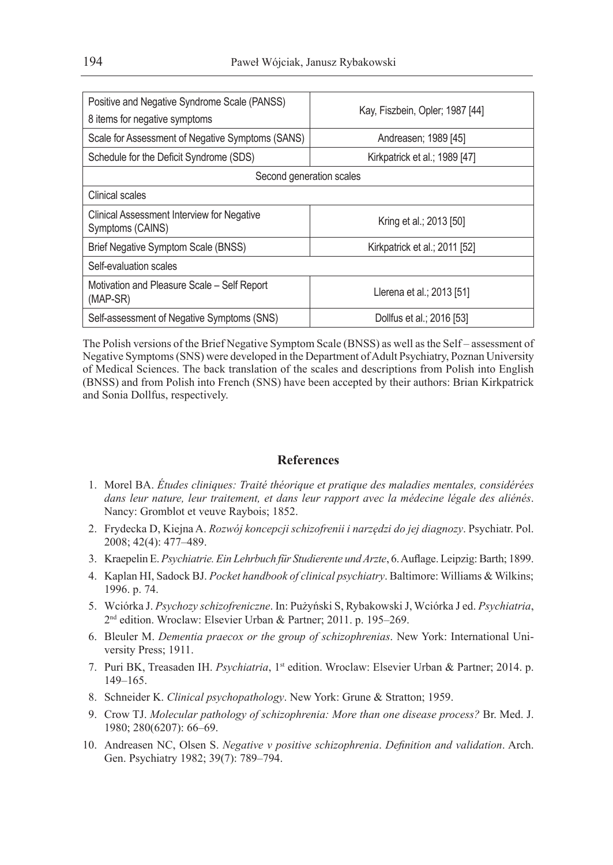| Positive and Negative Syndrome Scale (PANSS)<br>8 items for negative symptoms | Kay, Fiszbein, Opler; 1987 [44] |
|-------------------------------------------------------------------------------|---------------------------------|
| Scale for Assessment of Negative Symptoms (SANS)                              | Andreasen; 1989 [45]            |
| Schedule for the Deficit Syndrome (SDS)                                       | Kirkpatrick et al.; 1989 [47]   |
| Second generation scales                                                      |                                 |
| Clinical scales                                                               |                                 |
| Clinical Assessment Interview for Negative<br>Symptoms (CAINS)                | Kring et al.; 2013 [50]         |
| Brief Negative Symptom Scale (BNSS)                                           | Kirkpatrick et al.; 2011 [52]   |
| Self-evaluation scales                                                        |                                 |
| Motivation and Pleasure Scale – Self Report<br>$(MAP-SR)$                     | Llerena et al.; 2013 [51]       |
| Self-assessment of Negative Symptoms (SNS)                                    | Dollfus et al.; 2016 [53]       |

The Polish versions of the Brief Negative Symptom Scale (BNSS) as well as the Self – assessment of Negative Symptoms (SNS) were developed in the Department of Adult Psychiatry, Poznan University of Medical Sciences. The back translation of the scales and descriptions from Polish into English (BNSS) and from Polish into French (SNS) have been accepted by their authors: Brian Kirkpatrick and Sonia Dollfus, respectively.

## **References**

- 1. Morel BA. *Études cliniques: Traité théorique et pratique des maladies mentales, considérées dans leur nature, leur traitement, et dans leur rapport avec la médecine légale des aliénés*. Nancy: Gromblot et veuve Raybois; 1852.
- 2. Frydecka D, Kiejna A. *Rozwój koncepcji schizofrenii i narzędzi do jej diagnozy*. Psychiatr. Pol. 2008; 42(4): 477–489.
- 3. Kraepelin E. *Psychiatrie. Ein Lehrbuch für Studierente und Arzte*, 6. Auflage. Leipzig: Barth; 1899.
- 4. Kaplan HI, Sadock BJ. *Pocket handbook of clinical psychiatry*. Baltimore: Williams & Wilkins; 1996. p. 74.
- 5. Wciórka J. *Psychozy schizofreniczne*. In: Pużyński S, Rybakowski J, Wciórka J ed. *Psychiatria*, 2nd edition. Wroclaw: Elsevier Urban & Partner; 2011. p. 195–269.
- 6. Bleuler M. *Dementia praecox or the group of schizophrenias*. New York: International University Press; 1911.
- 7. Puri BK, Treasaden IH. *Psychiatria*, 1st edition. Wroclaw: Elsevier Urban & Partner; 2014. p. 149–165.
- 8. Schneider K. *Clinical psychopathology*. New York: Grune & Stratton; 1959.
- 9. Crow TJ. *Molecular pathology of schizophrenia: More than one disease process?* Br. Med. J. 1980; 280(6207): 66–69.
- 10. Andreasen NC, Olsen S. *Negative v positive schizophrenia*. *Definition and validation*. Arch. Gen. Psychiatry 1982; 39(7): 789–794.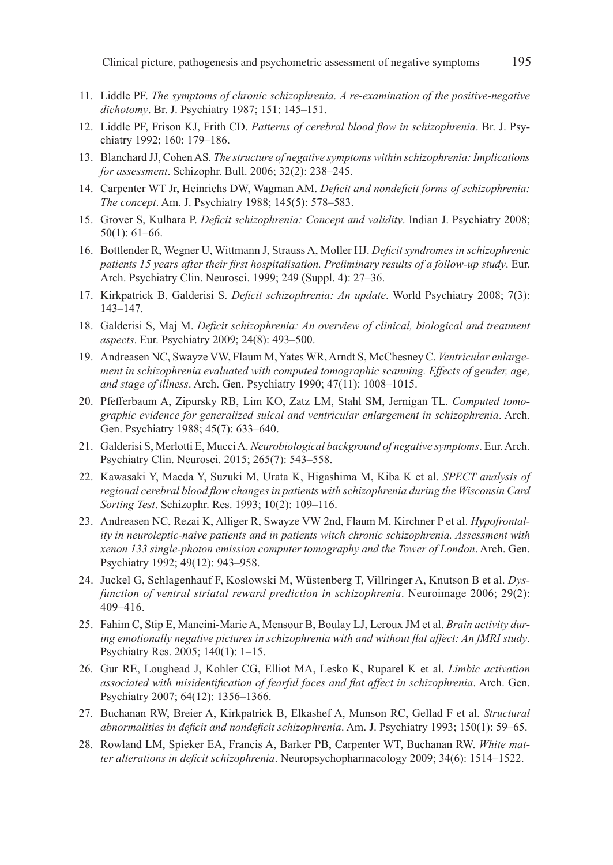- 11. Liddle PF. *The symptoms of chronic schizophrenia. A re-examination of the positive-negative dichotomy*. Br. J. Psychiatry 1987; 151: 145–151.
- 12. Liddle PF, Frison KJ, Frith CD. *Patterns of cerebral blood flow in schizophrenia*. Br. J. Psychiatry 1992; 160: 179–186.
- 13. Blanchard JJ, Cohen AS. *The structure of negative symptoms within schizophrenia: Implications for assessment*. Schizophr. Bull. 2006; 32(2): 238–245.
- 14. Carpenter WT Jr, Heinrichs DW, Wagman AM. *Deficit and nondeficit forms of schizophrenia: The concept*. Am. J. Psychiatry 1988; 145(5): 578–583.
- 15. Grover S, Kulhara P. *Deficit schizophrenia: Concept and validity*. Indian J. Psychiatry 2008; 50(1): 61–66.
- 16. Bottlender R, Wegner U, Wittmann J, Strauss A, Moller HJ. *Deficit syndromes in schizophrenic patients 15 years after their first hospitalisation. Preliminary results of a follow-up study*. Eur. Arch. Psychiatry Clin. Neurosci. 1999; 249 (Suppl. 4): 27–36.
- 17. Kirkpatrick B, Galderisi S. *Deficit schizophrenia: An update*. World Psychiatry 2008; 7(3): 143–147.
- 18. Galderisi S, Maj M. *Deficit schizophrenia: An overview of clinical, biological and treatment aspects*. Eur. Psychiatry 2009; 24(8): 493–500.
- 19. Andreasen NC, Swayze VW, Flaum M, Yates WR, Arndt S, McChesney C. *Ventricular enlargement in schizophrenia evaluated with computed tomographic scanning. Effects of gender, age, and stage of illness*. Arch. Gen. Psychiatry 1990; 47(11): 1008–1015.
- 20. Pfefferbaum A, Zipursky RB, Lim KO, Zatz LM, Stahl SM, Jernigan TL. *Computed tomographic evidence for generalized sulcal and ventricular enlargement in schizophrenia*. Arch. Gen. Psychiatry 1988; 45(7): 633–640.
- 21. Galderisi S, Merlotti E, Mucci A. *Neurobiological background of negative symptoms*. Eur. Arch. Psychiatry Clin. Neurosci. 2015; 265(7): 543–558.
- 22. Kawasaki Y, Maeda Y, Suzuki M, Urata K, Higashima M, Kiba K et al. *SPECT analysis of regional cerebral blood flow changes in patients with schizophrenia during the Wisconsin Card Sorting Test*. Schizophr. Res. 1993; 10(2): 109–116.
- 23. Andreasen NC, Rezai K, Alliger R, Swayze VW 2nd, Flaum M, Kirchner P et al. *Hypofrontality in neuroleptic-naive patients and in patients witch chronic schizophrenia. Assessment with xenon 133 single-photon emission computer tomography and the Tower of London*. Arch. Gen. Psychiatry 1992; 49(12): 943–958.
- 24. Juckel G, Schlagenhauf F, Koslowski M, Wüstenberg T, Villringer A, Knutson B et al. *Dysfunction of ventral striatal reward prediction in schizophrenia*. Neuroimage 2006; 29(2): 409–416.
- 25. Fahim C, Stip E, Mancini-Marie A, Mensour B, Boulay LJ, Leroux JM et al. *Brain activity during emotionally negative pictures in schizophrenia with and without flat affect: An fMRI study*. Psychiatry Res. 2005; 140(1): 1–15.
- 26. Gur RE, Loughead J, Kohler CG, Elliot MA, Lesko K, Ruparel K et al. *Limbic activation associated with misidentification of fearful faces and flat affect in schizophrenia*. Arch. Gen. Psychiatry 2007; 64(12): 1356–1366.
- 27. Buchanan RW, Breier A, Kirkpatrick B, Elkashef A, Munson RC, Gellad F et al. *Structural abnormalities in deficit and nondeficit schizophrenia*. Am. J. Psychiatry 1993; 150(1): 59–65.
- 28. Rowland LM, Spieker EA, Francis A, Barker PB, Carpenter WT, Buchanan RW. *White matter alterations in deficit schizophrenia*. Neuropsychopharmacology 2009; 34(6): 1514–1522.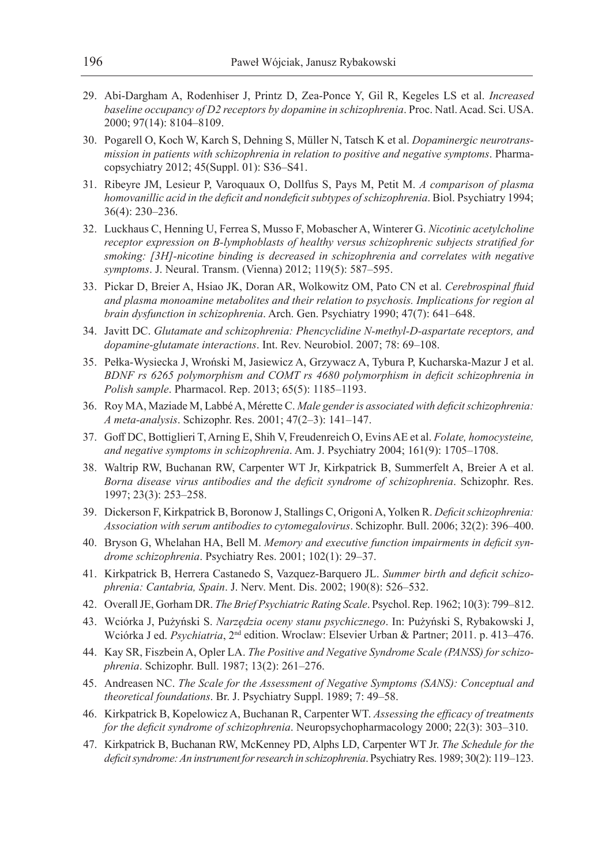- 29. Abi-Dargham A, Rodenhiser J, Printz D, Zea-Ponce Y, Gil R, Kegeles LS et al. *Increased baseline occupancy of D2 receptors by dopamine in schizophrenia*. Proc. Natl. Acad. Sci. USA. 2000; 97(14): 8104–8109.
- 30. Pogarell O, Koch W, Karch S, Dehning S, Müller N, Tatsch K et al. *Dopaminergic neurotransmission in patients with schizophrenia in relation to positive and negative symptoms*. Pharmacopsychiatry 2012; 45(Suppl. 01): S36–S41.
- 31. Ribeyre JM, Lesieur P, Varoquaux O, Dollfus S, Pays M, Petit M. *A comparison of plasma homovanillic acid in the deficit and nondeficit subtypes of schizophrenia*. Biol. Psychiatry 1994; 36(4): 230–236.
- 32. Luckhaus C, Henning U, Ferrea S, Musso F, Mobascher A, Winterer G. *Nicotinic acetylcholine receptor expression on B-lymphoblasts of healthy versus schizophrenic subjects stratified for smoking: [3H]-nicotine binding is decreased in schizophrenia and correlates with negative symptoms*. J. Neural. Transm. (Vienna) 2012; 119(5): 587–595.
- 33. Pickar D, Breier A, Hsiao JK, Doran AR, Wolkowitz OM, Pato CN et al. *Cerebrospinal fluid and plasma monoamine metabolites and their relation to psychosis. Implications for region al brain dysfunction in schizophrenia*. Arch. Gen. Psychiatry 1990; 47(7): 641–648.
- 34. Javitt DC. *Glutamate and schizophrenia: Phencyclidine N-methyl-D-aspartate receptors, and dopamine-glutamate interactions*. Int. Rev. Neurobiol. 2007; 78: 69–108.
- 35. Pełka-Wysiecka J, Wroński M, Jasiewicz A, Grzywacz A, Tybura P, Kucharska-Mazur J et al. *BDNF rs 6265 polymorphism and COMT rs 4680 polymorphism in deficit schizophrenia in Polish sample*. Pharmacol. Rep. 2013; 65(5): 1185–1193.
- 36. Roy MA, Maziade M, Labbé A, Mérette C. *Male gender is associated with deficit schizophrenia: A meta-analysis*. Schizophr. Res. 2001; 47(2–3): 141–147.
- 37. Goff DC, Bottiglieri T, Arning E, Shih V, Freudenreich O, Evins AE et al. *Folate, homocysteine, and negative symptoms in schizophrenia*. Am. J. Psychiatry 2004; 161(9): 1705–1708.
- 38. Waltrip RW, Buchanan RW, Carpenter WT Jr, Kirkpatrick B, Summerfelt A, Breier A et al. *Borna disease virus antibodies and the deficit syndrome of schizophrenia*. Schizophr. Res. 1997; 23(3): 253–258.
- 39. Dickerson F, Kirkpatrick B, Boronow J, Stallings C, Origoni A, Yolken R. *Deficit schizophrenia: Association with serum antibodies to cytomegalovirus*. Schizophr. Bull. 2006; 32(2): 396–400.
- 40. Bryson G, Whelahan HA, Bell M. *Memory and executive function impairments in deficit syndrome schizophrenia*. Psychiatry Res. 2001; 102(1): 29–37.
- 41. Kirkpatrick B, Herrera Castanedo S, Vazquez-Barquero JL. *Summer birth and deficit schizophrenia: Cantabria, Spain*. J. Nerv. Ment. Dis. 2002; 190(8): 526–532.
- 42. Overall JE, Gorham DR. *The Brief Psychiatric Rating Scale*. Psychol. Rep. 1962; 10(3): 799–812.
- 43. Wciórka J, Pużyński S. *Narzędzia oceny stanu psychicznego*. In: Pużyński S, Rybakowski J, Wciórka J ed. *Psychiatria*, 2nd edition. Wroclaw: Elsevier Urban & Partner; 2011. p. 413–476.
- 44. Kay SR, Fiszbein A, Opler LA. *The Positive and Negative Syndrome Scale (PANSS) for schizophrenia*. Schizophr. Bull. 1987; 13(2): 261–276.
- 45. Andreasen NC. *The Scale for the Assessment of Negative Symptoms (SANS): Conceptual and theoretical foundations*. Br. J. Psychiatry Suppl. 1989; 7: 49–58.
- 46. Kirkpatrick B, Kopelowicz A, Buchanan R, Carpenter WT. *Assessing the efficacy of treatments for the deficit syndrome of schizophrenia*. Neuropsychopharmacology 2000; 22(3): 303–310.
- 47. Kirkpatrick B, Buchanan RW, McKenney PD, Alphs LD, Carpenter WT Jr. *The Schedule for the deficit syndrome: An instrument for research in schizophrenia*. Psychiatry Res. 1989; 30(2): 119–123.